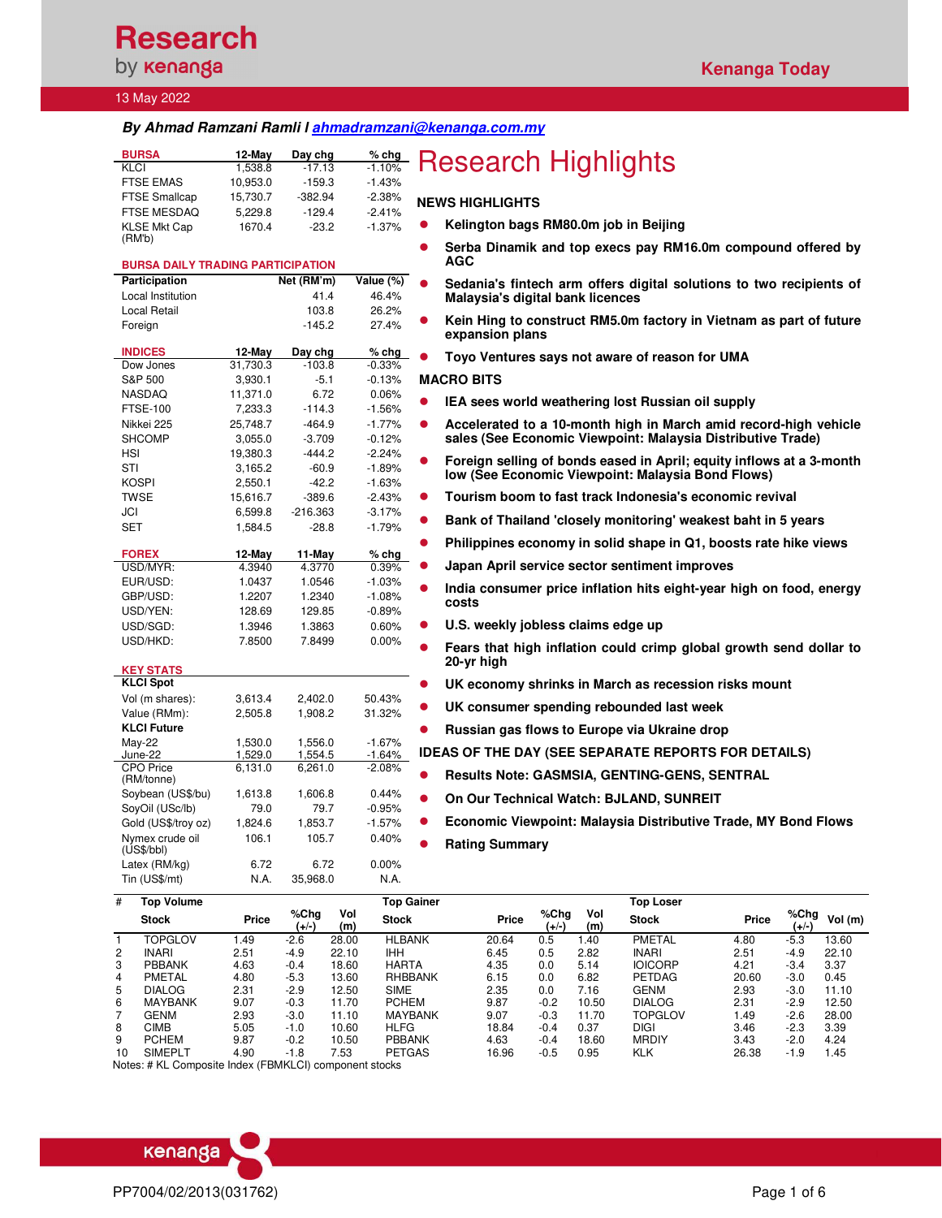## **Research** by **kenanga**

#### 13 May 2022

## **By Ahmad Ramzani Ramli l ahmadramzani@kenanga.com.my**

| <b>BURSA</b>         | $12$ -May | Day chg   | $%$ chg  |            |
|----------------------|-----------|-----------|----------|------------|
| KLCI                 | 1.538.8   | $-17.13$  | $-1.10%$ |            |
| <b>FTSE EMAS</b>     | 10.953.0  | $-159.3$  | $-1.43%$ |            |
| <b>FTSE Smallcap</b> | 15.730.7  | $-382.94$ | $-2.38%$ | <b>NEW</b> |
| <b>FTSE MESDAQ</b>   | 5.229.8   | $-129.4$  | $-2.41%$ |            |
| <b>KLSE Mkt Cap</b>  | 1670.4    | $-23.2$   | $-1.37%$ | $\bullet$  |
| (RM'b)               |           |           |          |            |

## **BURSA DAILY TRADING PARTICIPATION**

| Participation                        |                     | Net (RM'm)          | Value (%)            |
|--------------------------------------|---------------------|---------------------|----------------------|
| Local Institution                    |                     | 41.4                | 46.4%                |
| Local Retail                         |                     | 103.8               | 26.2%                |
| Foreign                              |                     | $-145.2$            | 27.4%                |
|                                      |                     |                     |                      |
| <b>INDICES</b>                       | 12-May              | Day chg<br>$-103.8$ | % chg                |
| Dow Jones<br>S&P 500                 | 31,730.3<br>3,930.1 | $-5.1$              | $-0.33%$<br>$-0.13%$ |
| <b>NASDAQ</b>                        | 11,371.0            | 6.72                | 0.06%                |
| <b>FTSE-100</b>                      | 7,233.3             | $-114.3$            | $-1.56%$             |
| Nikkei 225                           | 25,748.7            | $-464.9$            | $-1.77%$             |
| <b>SHCOMP</b>                        | 3,055.0             | $-3.709$            | $-0.12%$             |
| HSI                                  | 19,380.3            | $-444.2$            | $-2.24%$             |
| STI                                  | 3,165.2             | $-60.9$             | $-1.89%$             |
| <b>KOSPI</b>                         | 2,550.1             | $-42.2$             | $-1.63%$             |
| <b>TWSE</b>                          | 15,616.7            | $-389.6$            | $-2.43%$             |
| JCI                                  | 6,599.8             | $-216.363$          | $-3.17%$             |
| <b>SET</b>                           | 1,584.5             | $-28.8$             | $-1.79%$             |
|                                      |                     |                     |                      |
| <b>FOREX</b>                         | 12-May              | 11-May              | $%$ chg              |
| USD/MYR:                             | 4.3940              | 4.3770              | 0.39%                |
| EUR/USD:                             | 1.0437              | 1.0546              | $-1.03%$             |
| GBP/USD:                             | 1.2207              | 1.2340              | $-1.08%$             |
| USD/YEN:                             | 128.69              | 129.85              | $-0.89%$             |
| USD/SGD:                             | 1.3946              | 1.3863              | 0.60%                |
| USD/HKD:                             | 7.8500              | 7.8499              | 0.00%                |
|                                      |                     |                     |                      |
| <b>KEY STATS</b><br><b>KLCI Spot</b> |                     |                     |                      |
| Vol (m shares):                      | 3,613.4             | 2,402.0             | 50.43%               |
| Value (RMm):                         | 2,505.8             | 1,908.2             | 31.32%               |
| <b>KLCI Future</b>                   |                     |                     |                      |
| May-22                               | 1.530.0             | 1.556.0             | $-1.67%$             |
| June-22                              | 1,529.0             | 1,554.5             | -1.64%               |
| <b>CPO</b> Price<br>(RM/tonne)       | 6,131.0             | 6,261.0             | $-2.08%$             |
| Soybean (US\$/bu)                    | 1,613.8             | 1,606.8             | 0.44%                |
| SoyOil (USc/lb)                      | 79.0                | 79.7                | $-0.95%$             |
| Gold (US\$/troy oz)                  | 1,824.6             | 1,853.7             | $-1.57%$             |
| Nymex crude oil<br>(US\$/bbI)        | 106.1               | 105.7               | 0.40%                |
| Latex (RM/kg)                        | 6.72                | 6.72                | 0.00%                |
| Tin (US\$/mt)                        | N.A.                | 35,968.0            | N.A.                 |
|                                      |                     |                     |                      |

# **BURSA 12-May Day chg % chg** Research Highlights

### **NEWS HIGHLIGHTS**

- **Kelington bags RM80.0m job in Beijing** 
	- **Serba Dinamik and top execs pay RM16.0m compound offered by AGC**
- **•** Sedania's fintech arm offers digital solutions to two recipients of **Malaysia's digital bank licences**
- **Kein Hing to construct RM5.0m factory in Vietnam as part of future expansion plans**
- **Toyo Ventures says not aware of reason for UMA**

## **MACRO BITS**

- **IEA sees world weathering lost Russian oil supply**
- **Accelerated to a 10-month high in March amid record-high vehicle sales (See Economic Viewpoint: Malaysia Distributive Trade)**
- **Foreign selling of bonds eased in April; equity inflows at a 3-month low (See Economic Viewpoint: Malaysia Bond Flows)**
- **Tourism boom to fast track Indonesia's economic revival**
- **Bank of Thailand 'closely monitoring' weakest baht in 5 years**
- **Philippines economy in solid shape in Q1, boosts rate hike views**
- **Japan April service sector sentiment improves**
- **India consumer price inflation hits eight-year high on food, energy costs**
- **U.S. weekly jobless claims edge up**
- **Fears that high inflation could crimp global growth send dollar to 20-yr high**
- **UK economy shrinks in March as recession risks mount**
- **UK consumer spending rebounded last week**
- **Russian gas flows to Europe via Ukraine drop**
- **IDEAS OF THE DAY (SEE SEPARATE REPORTS FOR DETAILS)**
- **Results Note: GASMSIA, GENTING-GENS, SENTRAL**
- **On Our Technical Watch: BJLAND, SUNREIT**
- **Economic Viewpoint: Malaysia Distributive Trade, MY Bond Flows**
- **Rating Summary**

| #  | <b>Top Volume</b> |       |               |            | Top Gainer     |       |               |            | <b>Top Loser</b> |       |                  |        |
|----|-------------------|-------|---------------|------------|----------------|-------|---------------|------------|------------------|-------|------------------|--------|
|    | <b>Stock</b>      | Price | %Chq<br>(+/-) | Vol<br>(m) | <b>Stock</b>   | Price | %Chg<br>(+/-) | Vol<br>(m) | <b>Stock</b>     | Price | % $Chg$<br>(+/-) | Vol(m) |
|    | <b>TOPGLOV</b>    | 1.49  | $-2.6$        | 28.00      | <b>HLBANK</b>  | 20.64 | 0.5           | .40        | PMETAL           | 4.80  | $-5.3$           | 13.60  |
| 2  | <b>INARI</b>      | 2.51  | $-4.9$        | 22.10      | <b>IHH</b>     | 6.45  | 0.5           | 2.82       | <b>INARI</b>     | 2.51  | $-4.9$           | 22.10  |
| 3  | <b>PBBANK</b>     | 4.63  | $-0.4$        | 18.60      | <b>HARTA</b>   | 4.35  | 0.0           | 5.14       | <b>IOICORP</b>   | 4.21  | $-3.4$           | 3.37   |
| 4  | PMETAL            | 4.80  | $-5.3$        | 13.60      | <b>RHBBANK</b> | 6.15  | 0.0           | 6.82       | <b>PETDAG</b>    | 20.60 | $-3.0$           | 0.45   |
| 5  | <b>DIALOG</b>     | 2.31  | $-2.9$        | 12.50      | <b>SIME</b>    | 2.35  | 0.0           | 7.16       | <b>GENM</b>      | 2.93  | $-3.0$           | 11.10  |
| 6  | <b>MAYBANK</b>    | 9.07  | $-0.3$        | 11.70      | <b>PCHEM</b>   | 9.87  | $-0.2$        | 10.50      | <b>DIALOG</b>    | 2.31  | $-2.9$           | 12.50  |
|    | <b>GENM</b>       | 2.93  | $-3.0$        | 11.10      | <b>MAYBANK</b> | 9.07  | $-0.3$        | 11.70      | TOPGLOV          | .49   | $-2.6$           | 28.00  |
| 8  | CIMB              | 5.05  | $-1.0$        | 10.60      | <b>HLFG</b>    | 18.84 | $-0.4$        | 0.37       | DIGI             | 3.46  | $-2.3$           | 3.39   |
| 9  | <b>PCHEM</b>      | 9.87  | $-0.2$        | 10.50      | <b>PBBANK</b>  | 4.63  | $-0.4$        | 18.60      | <b>MRDIY</b>     | 3.43  | $-2.0$           | 4.24   |
| 10 | <b>SIMEPLT</b>    | 4.90  | $-1.8$        | 7.53       | <b>PETGAS</b>  | 16.96 | $-0.5$        | 0.95       | <b>KLK</b>       | 26.38 | $-1.9$           | .45    |

Notes: # KL Composite Index (FBMKLCI) component stocks

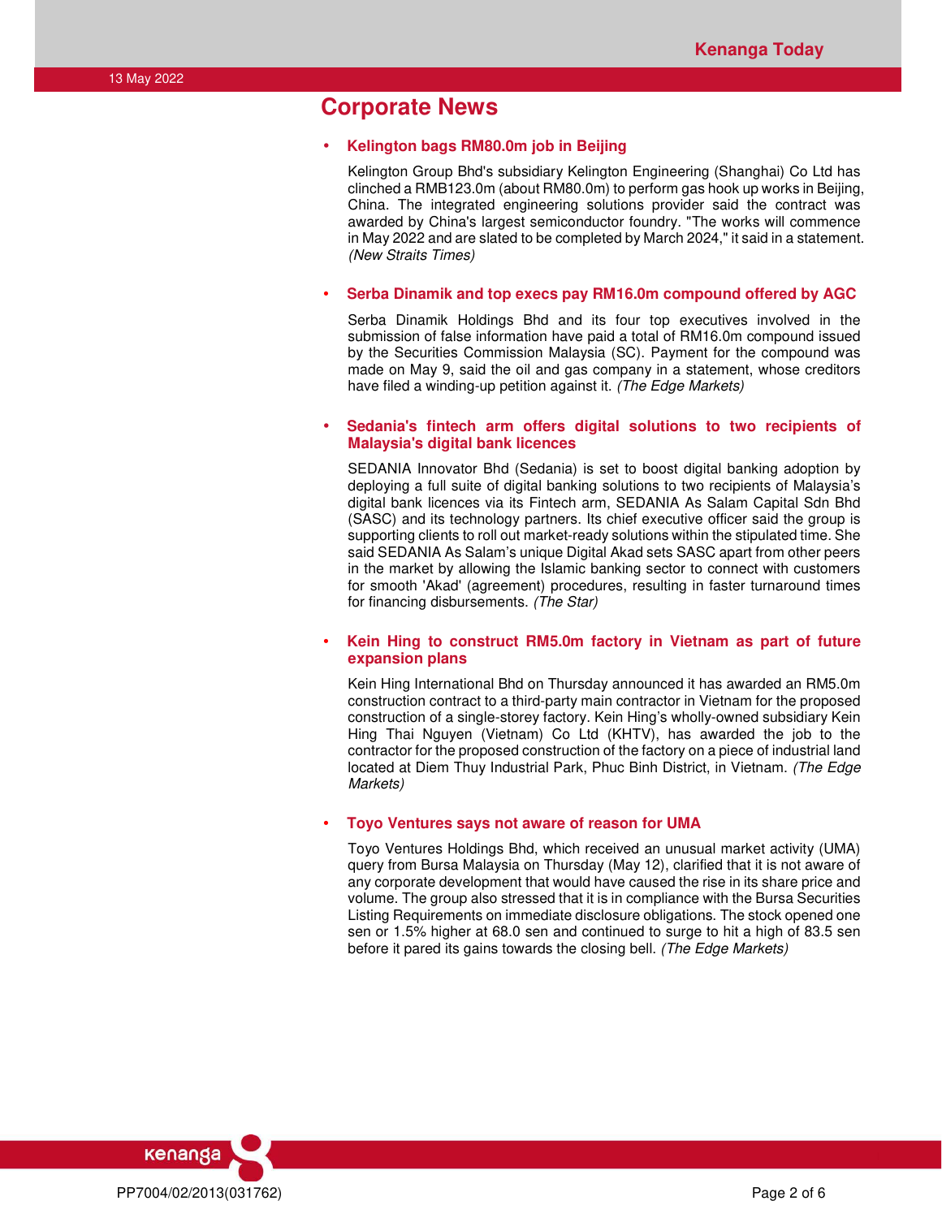## **Corporate News**

### • **Kelington bags RM80.0m job in Beijing**

Kelington Group Bhd's subsidiary Kelington Engineering (Shanghai) Co Ltd has clinched a RMB123.0m (about RM80.0m) to perform gas hook up works in Beijing, China. The integrated engineering solutions provider said the contract was awarded by China's largest semiconductor foundry. "The works will commence in May 2022 and are slated to be completed by March 2024," it said in a statement. (New Straits Times)

#### • **Serba Dinamik and top execs pay RM16.0m compound offered by AGC**

Serba Dinamik Holdings Bhd and its four top executives involved in the submission of false information have paid a total of RM16.0m compound issued by the Securities Commission Malaysia (SC). Payment for the compound was made on May 9, said the oil and gas company in a statement, whose creditors have filed a winding-up petition against it. (The Edge Markets)

### • **Sedania's fintech arm offers digital solutions to two recipients of Malaysia's digital bank licences**

SEDANIA Innovator Bhd (Sedania) is set to boost digital banking adoption by deploying a full suite of digital banking solutions to two recipients of Malaysia's digital bank licences via its Fintech arm, SEDANIA As Salam Capital Sdn Bhd (SASC) and its technology partners. Its chief executive officer said the group is supporting clients to roll out market-ready solutions within the stipulated time. She said SEDANIA As Salam's unique Digital Akad sets SASC apart from other peers in the market by allowing the Islamic banking sector to connect with customers for smooth 'Akad' (agreement) procedures, resulting in faster turnaround times for financing disbursements. (The Star)

## • **Kein Hing to construct RM5.0m factory in Vietnam as part of future expansion plans**

Kein Hing International Bhd on Thursday announced it has awarded an RM5.0m construction contract to a third-party main contractor in Vietnam for the proposed construction of a single-storey factory. Kein Hing's wholly-owned subsidiary Kein Hing Thai Nguyen (Vietnam) Co Ltd (KHTV), has awarded the job to the contractor for the proposed construction of the factory on a piece of industrial land located at Diem Thuy Industrial Park, Phuc Binh District, in Vietnam. (The Edge Markets)

#### • **Toyo Ventures says not aware of reason for UMA**

Toyo Ventures Holdings Bhd, which received an unusual market activity (UMA) query from Bursa Malaysia on Thursday (May 12), clarified that it is not aware of any corporate development that would have caused the rise in its share price and volume. The group also stressed that it is in compliance with the Bursa Securities Listing Requirements on immediate disclosure obligations. The stock opened one sen or 1.5% higher at 68.0 sen and continued to surge to hit a high of 83.5 sen before it pared its gains towards the closing bell. (The Edge Markets)

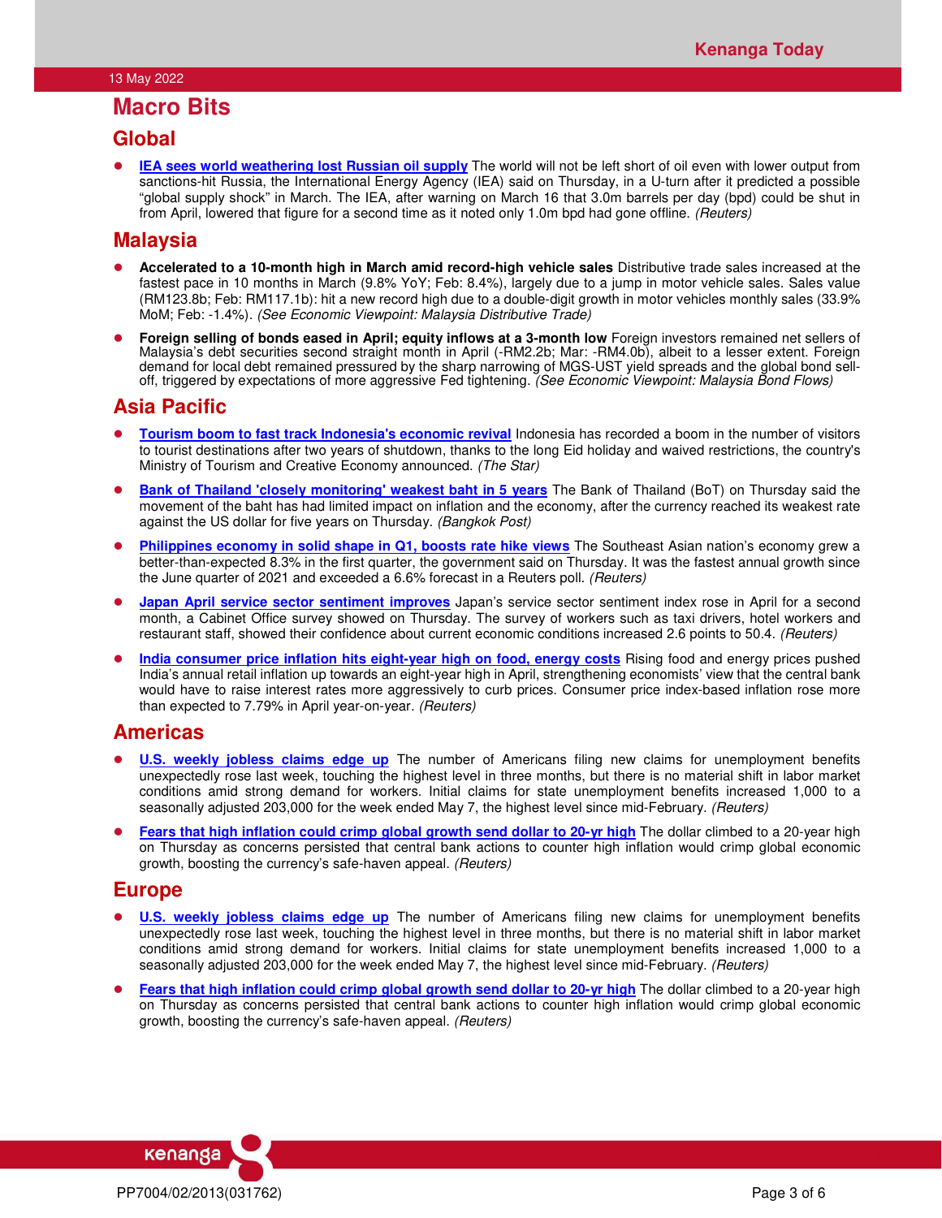## **Macro Bits**

## **Global**

**IEA sees world weathering lost Russian oil supply** The world will not be left short of oil even with lower output from sanctions-hit Russia, the International Energy Agency (IEA) said on Thursday, in a U-turn after it predicted a possible "global supply shock" in March. The IEA, after warning on March 16 that 3.0m barrels per day (bpd) could be shut in from April, lowered that figure for a second time as it noted only 1.0m bpd had gone offline. (Reuters)

## **Malaysia**

- **Accelerated to a 10-month high in March amid record-high vehicle sales** Distributive trade sales increased at the fastest pace in 10 months in March (9.8% YoY; Feb: 8.4%), largely due to a jump in motor vehicle sales. Sales value (RM123.8b; Feb: RM117.1b): hit a new record high due to a double-digit growth in motor vehicles monthly sales (33.9% MoM; Feb: -1.4%). (See Economic Viewpoint: Malaysia Distributive Trade)
- **Foreign selling of bonds eased in April; equity inflows at a 3-month low** Foreign investors remained net sellers of Malaysia's debt securities second straight month in April (-RM2.2b; Mar: -RM4.0b), albeit to a lesser extent. Foreign demand for local debt remained pressured by the sharp narrowing of MGS-UST yield spreads and the global bond selloff, triggered by expectations of more aggressive Fed tightening. (See Economic Viewpoint: Malaysia Bond Flows)

## **Asia Pacific**

- **Tourism boom to fast track Indonesia's economic revival** Indonesia has recorded a boom in the number of visitors to tourist destinations after two years of shutdown, thanks to the long Eid holiday and waived restrictions, the country's Ministry of Tourism and Creative Economy announced. (The Star)
- **Bank of Thailand 'closely monitoring' weakest baht in 5 years** The Bank of Thailand (BoT) on Thursday said the movement of the baht has had limited impact on inflation and the economy, after the currency reached its weakest rate against the US dollar for five years on Thursday. (Bangkok Post)
- **Philippines economy in solid shape in Q1, boosts rate hike views** The Southeast Asian nation's economy grew a better-than-expected 8.3% in the first quarter, the government said on Thursday. It was the fastest annual growth since the June quarter of 2021 and exceeded a 6.6% forecast in a Reuters poll. (Reuters)
- **Japan April service sector sentiment improves** Japan's service sector sentiment index rose in April for a second month, a Cabinet Office survey showed on Thursday. The survey of workers such as taxi drivers, hotel workers and restaurant staff, showed their confidence about current economic conditions increased 2.6 points to 50.4. (Reuters)
- **India consumer price inflation hits eight-year high on food, energy costs** Rising food and energy prices pushed India's annual retail inflation up towards an eight-year high in April, strengthening economists' view that the central bank would have to raise interest rates more aggressively to curb prices. Consumer price index-based inflation rose more than expected to 7.79% in April year-on-year. (Reuters)

## **Americas**

- **U.S. weekly jobless claims edge up** The number of Americans filing new claims for unemployment benefits unexpectedly rose last week, touching the highest level in three months, but there is no material shift in labor market conditions amid strong demand for workers. Initial claims for state unemployment benefits increased 1,000 to a seasonally adjusted 203,000 for the week ended May 7, the highest level since mid-February. (Reuters)
- **Fears that high inflation could crimp global growth send dollar to 20-yr high** The dollar climbed to a 20-year high on Thursday as concerns persisted that central bank actions to counter high inflation would crimp global economic growth, boosting the currency's safe-haven appeal. (Reuters)

## **Europe**

- **U.S. weekly jobless claims edge up** The number of Americans filing new claims for unemployment benefits unexpectedly rose last week, touching the highest level in three months, but there is no material shift in labor market conditions amid strong demand for workers. Initial claims for state unemployment benefits increased 1,000 to a seasonally adjusted 203,000 for the week ended May 7, the highest level since mid-February. (Reuters)
- **Fears that high inflation could crimp global growth send dollar to 20-yr high** The dollar climbed to a 20-year high on Thursday as concerns persisted that central bank actions to counter high inflation would crimp global economic growth, boosting the currency's safe-haven appeal. (Reuters)

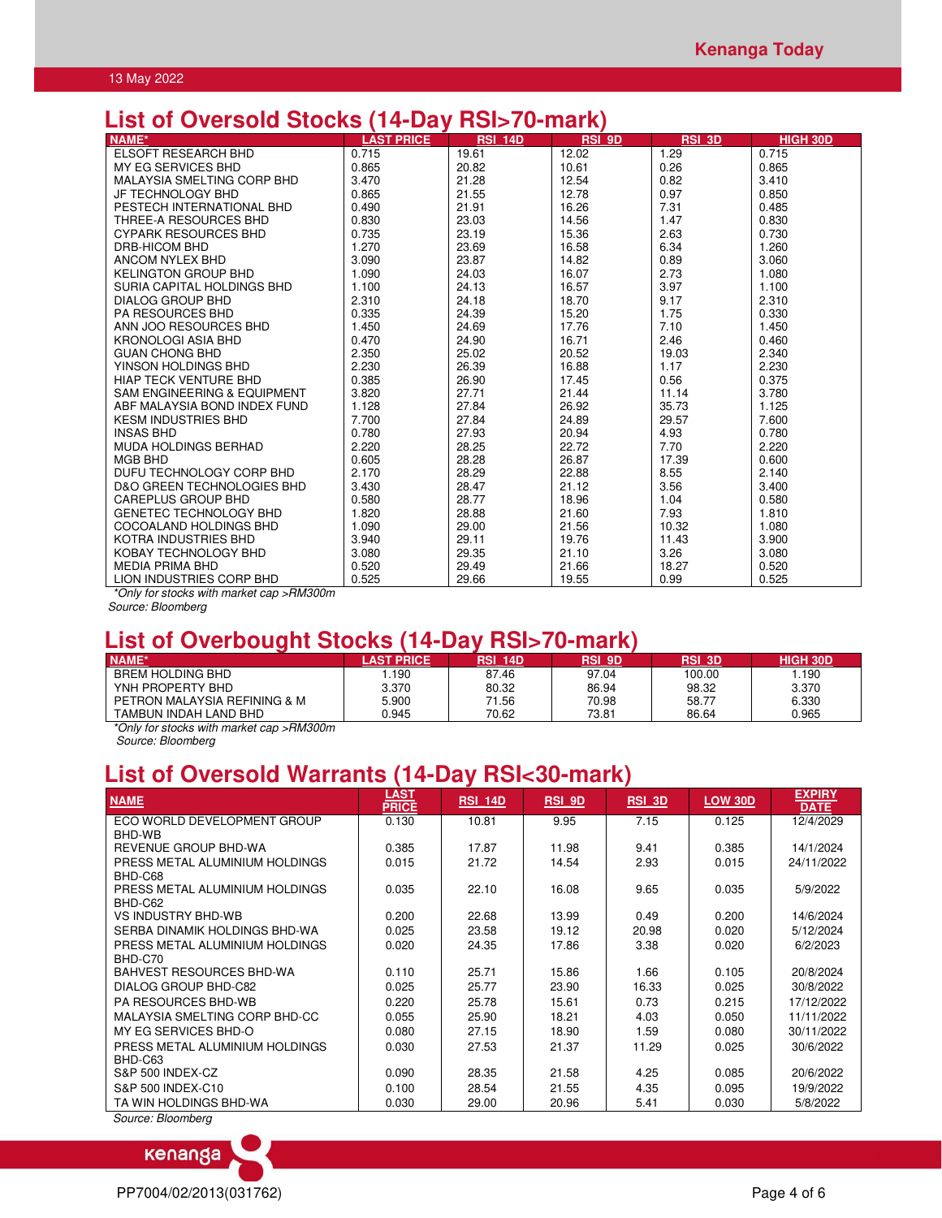## **List of Oversold Stocks (14-Day RSI>70-mark)**

| NAME*                                 | <b>LAST PRICE</b> | <b>RSI 14D</b> | <b>RSI 9D</b> | <b>RSI 3D</b> | <b>HIGH 30D</b> |
|---------------------------------------|-------------------|----------------|---------------|---------------|-----------------|
| <b>ELSOFT RESEARCH BHD</b>            | 0.715             | 19.61          | 12.02         | 1.29          | 0.715           |
| <b>MY EG SERVICES BHD</b>             | 0.865             | 20.82          | 10.61         | 0.26          | 0.865           |
| <b>MALAYSIA SMELTING CORP BHD</b>     | 3.470             | 21.28          | 12.54         | 0.82          | 3.410           |
| JF TECHNOLOGY BHD                     | 0.865             | 21.55          | 12.78         | 0.97          | 0.850           |
| PESTECH INTERNATIONAL BHD             | 0.490             | 21.91          | 16.26         | 7.31          | 0.485           |
| THREE-A RESOURCES BHD                 | 0.830             | 23.03          | 14.56         | 1.47          | 0.830           |
| <b>CYPARK RESOURCES BHD</b>           | 0.735             | 23.19          | 15.36         | 2.63          | 0.730           |
| DRB-HICOM BHD                         | 1.270             | 23.69          | 16.58         | 6.34          | 1.260           |
| ANCOM NYLEX BHD                       | 3.090             | 23.87          | 14.82         | 0.89          | 3.060           |
| <b>KELINGTON GROUP BHD</b>            | 1.090             | 24.03          | 16.07         | 2.73          | 1.080           |
| SURIA CAPITAL HOLDINGS BHD            | 1.100             | 24.13          | 16.57         | 3.97          | 1.100           |
| <b>DIALOG GROUP BHD</b>               | 2.310             | 24.18          | 18.70         | 9.17          | 2.310           |
| <b>PA RESOURCES BHD</b>               | 0.335             | 24.39          | 15.20         | 1.75          | 0.330           |
| ANN JOO RESOURCES BHD                 | 1.450             | 24.69          | 17.76         | 7.10          | 1.450           |
| <b>KRONOLOGI ASIA BHD</b>             | 0.470             | 24.90          | 16.71         | 2.46          | 0.460           |
| <b>GUAN CHONG BHD</b>                 | 2.350             | 25.02          | 20.52         | 19.03         | 2.340           |
| YINSON HOLDINGS BHD                   | 2.230             | 26.39          | 16.88         | 1.17          | 2.230           |
| <b>HIAP TECK VENTURE BHD</b>          | 0.385             | 26.90          | 17.45         | 0.56          | 0.375           |
| SAM ENGINEERING & EQUIPMENT           | 3.820             | 27.71          | 21.44         | 11.14         | 3.780           |
| ABF MALAYSIA BOND INDEX FUND          | 1.128             | 27.84          | 26.92         | 35.73         | 1.125           |
| <b>KESM INDUSTRIES BHD</b>            | 7.700             | 27.84          | 24.89         | 29.57         | 7.600           |
| <b>INSAS BHD</b>                      | 0.780             | 27.93          | 20.94         | 4.93          | 0.780           |
| <b>MUDA HOLDINGS BERHAD</b>           | 2.220             | 28.25          | 22.72         | 7.70          | 2.220           |
| MGB BHD                               | 0.605             | 28.28          | 26.87         | 17.39         | 0.600           |
| DUFU TECHNOLOGY CORP BHD              | 2.170             | 28.29          | 22.88         | 8.55          | 2.140           |
| <b>D&amp;O GREEN TECHNOLOGIES BHD</b> | 3.430             | 28.47          | 21.12         | 3.56          | 3.400           |
| CAREPLUS GROUP BHD                    | 0.580             | 28.77          | 18.96         | 1.04          | 0.580           |
| <b>GENETEC TECHNOLOGY BHD</b>         | 1.820             | 28.88          | 21.60         | 7.93          | 1.810           |
| COCOALAND HOLDINGS BHD                | 1.090             | 29.00          | 21.56         | 10.32         | 1.080           |
| KOTRA INDUSTRIES BHD                  | 3.940             | 29.11          | 19.76         | 11.43         | 3.900           |
| KOBAY TECHNOLOGY BHD                  | 3.080             | 29.35          | 21.10         | 3.26          | 3.080           |
| <b>MEDIA PRIMA BHD</b>                | 0.520             | 29.49          | 21.66         | 18.27         | 0.520           |
| LION INDUSTRIES CORP BHD              | 0.525             | 29.66          | 19.55         | 0.99          | 0.525           |

\*Only for stocks with market cap >RM300m

Source: Bloomberg

## **List of Overbought Stocks (14-Day RSI>70-mark)**

| NAME*                        | <b>PRICE</b> | <b>RSL</b><br>14D | RSI 9D | RSI 3D | HIGH 30D |
|------------------------------|--------------|-------------------|--------|--------|----------|
| <b>BREM HOLDING BHD</b>      | .190         | 87.46             | 97.04  | 100.00 | .190     |
| YNH PROPERTY BHD             | 3.370        | 80.32             | 86.94  | 98.32  | 3.370    |
| PETRON MALAYSIA REFINING & M | 5.900        | 71.56             | 70.98  | 58.77  | 6.330    |
| TAMBUN INDAH LAND BHD        | 0.945        | 70.62             | 73.81  | 86.64  | 0.965    |

\*Only for stocks with market cap >RM300m Source: Bloomberg

# **List of Oversold Warrants (14-Day RSI<30-mark)**

| <b>NAME</b>                     | LAST<br><b>PRICE</b> | <b>RSI 14D</b> | RSI 9D | <b>RSI 3D</b> | <b>LOW 30D</b> | <b>EXPIRY</b><br><b>DATE</b> |
|---------------------------------|----------------------|----------------|--------|---------------|----------------|------------------------------|
| ECO WORLD DEVELOPMENT GROUP     | 0.130                | 10.81          | 9.95   | 7.15          | 0.125          | 12/4/2029                    |
| BHD-WB                          |                      |                |        |               |                |                              |
| REVENUE GROUP BHD-WA            | 0.385                | 17.87          | 11.98  | 9.41          | 0.385          | 14/1/2024                    |
| PRESS METAL ALUMINIUM HOLDINGS  | 0.015                | 21.72          | 14.54  | 2.93          | 0.015          | 24/11/2022                   |
| BHD-C68                         |                      |                |        |               |                |                              |
| PRESS METAL ALUMINIUM HOLDINGS  | 0.035                | 22.10          | 16.08  | 9.65          | 0.035          | 5/9/2022                     |
| BHD-C62                         |                      |                |        |               |                |                              |
| VS INDUSTRY BHD-WB              | 0.200                | 22.68          | 13.99  | 0.49          | 0.200          | 14/6/2024                    |
| SERBA DINAMIK HOLDINGS BHD-WA   | 0.025                | 23.58          | 19.12  | 20.98         | 0.020          | 5/12/2024                    |
| PRESS METAL ALUMINIUM HOLDINGS  | 0.020                | 24.35          | 17.86  | 3.38          | 0.020          | 6/2/2023                     |
| BHD-C70                         |                      |                |        |               |                |                              |
| <b>BAHVEST RESOURCES BHD-WA</b> | 0.110                | 25.71          | 15.86  | 1.66          | 0.105          | 20/8/2024                    |
| <b>DIALOG GROUP BHD-C82</b>     | 0.025                | 25.77          | 23.90  | 16.33         | 0.025          | 30/8/2022                    |
| <b>PA RESOURCES BHD-WB</b>      | 0.220                | 25.78          | 15.61  | 0.73          | 0.215          | 17/12/2022                   |
| MALAYSIA SMELTING CORP BHD-CC   | 0.055                | 25.90          | 18.21  | 4.03          | 0.050          | 11/11/2022                   |
| MY EG SERVICES BHD-O            | 0.080                | 27.15          | 18.90  | 1.59          | 0.080          | 30/11/2022                   |
| PRESS METAL ALUMINIUM HOLDINGS  | 0.030                | 27.53          | 21.37  | 11.29         | 0.025          | 30/6/2022                    |
| BHD-C63                         |                      |                |        |               |                |                              |
| S&P 500 INDEX-CZ                | 0.090                | 28.35          | 21.58  | 4.25          | 0.085          | 20/6/2022                    |
| S&P 500 INDEX-C10               | 0.100                | 28.54          | 21.55  | 4.35          | 0.095          | 19/9/2022                    |
| TA WIN HOLDINGS BHD-WA          | 0.030                | 29.00          | 20.96  | 5.41          | 0.030          | 5/8/2022                     |
| Source: Bloombera               |                      |                |        |               |                |                              |

kenanga PP7004/02/2013(031762) 2013(031762)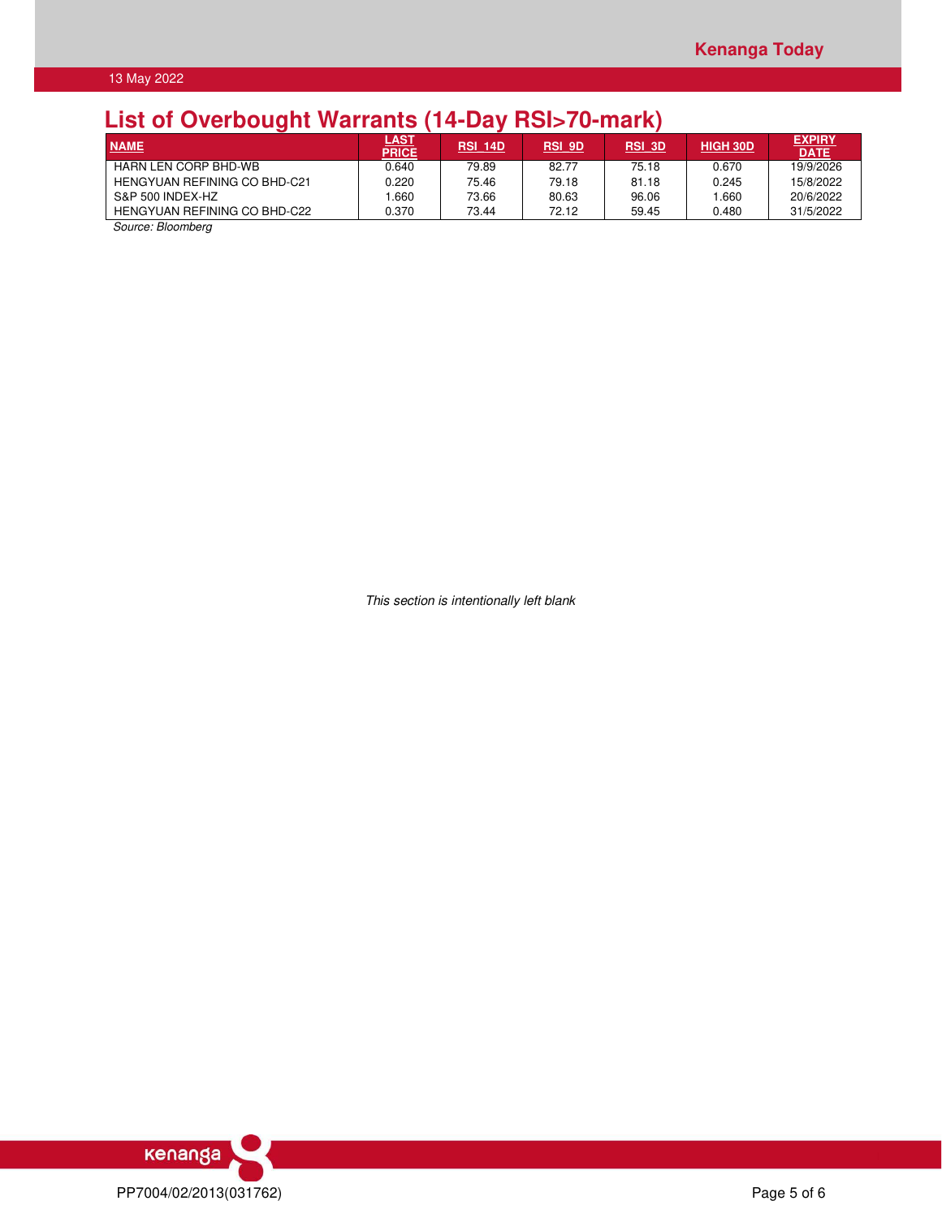# **List of Overbought Warrants (14-Day RSI>70-mark)**

| <b>NAME</b>                         | <u>LAST</u><br>PRICE | <b>RSI 14D</b> | <b>RSI 9D</b> | <b>RSI 3D</b> | <b>HIGH 30D</b> | <b>EXPIRY</b><br><b>DATE</b> |
|-------------------------------------|----------------------|----------------|---------------|---------------|-----------------|------------------------------|
| <b>HARN LEN CORP BHD-WB</b>         | 0.640                | 79.89          | 82.77         | 75.18         | 0.670           | 19/9/2026                    |
| <b>HENGYUAN REFINING CO BHD-C21</b> | 0.220                | 75.46          | 79.18         | 81.18         | 0.245           | 15/8/2022                    |
| S&P 500 INDEX-HZ                    | .660                 | 73.66          | 80.63         | 96.06         | .660            | 20/6/2022                    |
| HENGYUAN REFINING CO BHD-C22        | 0.370                | 73.44          | 72.12         | 59.45         | 0.480           | 31/5/2022                    |

Source: Bloomberg

This section is intentionally left blank